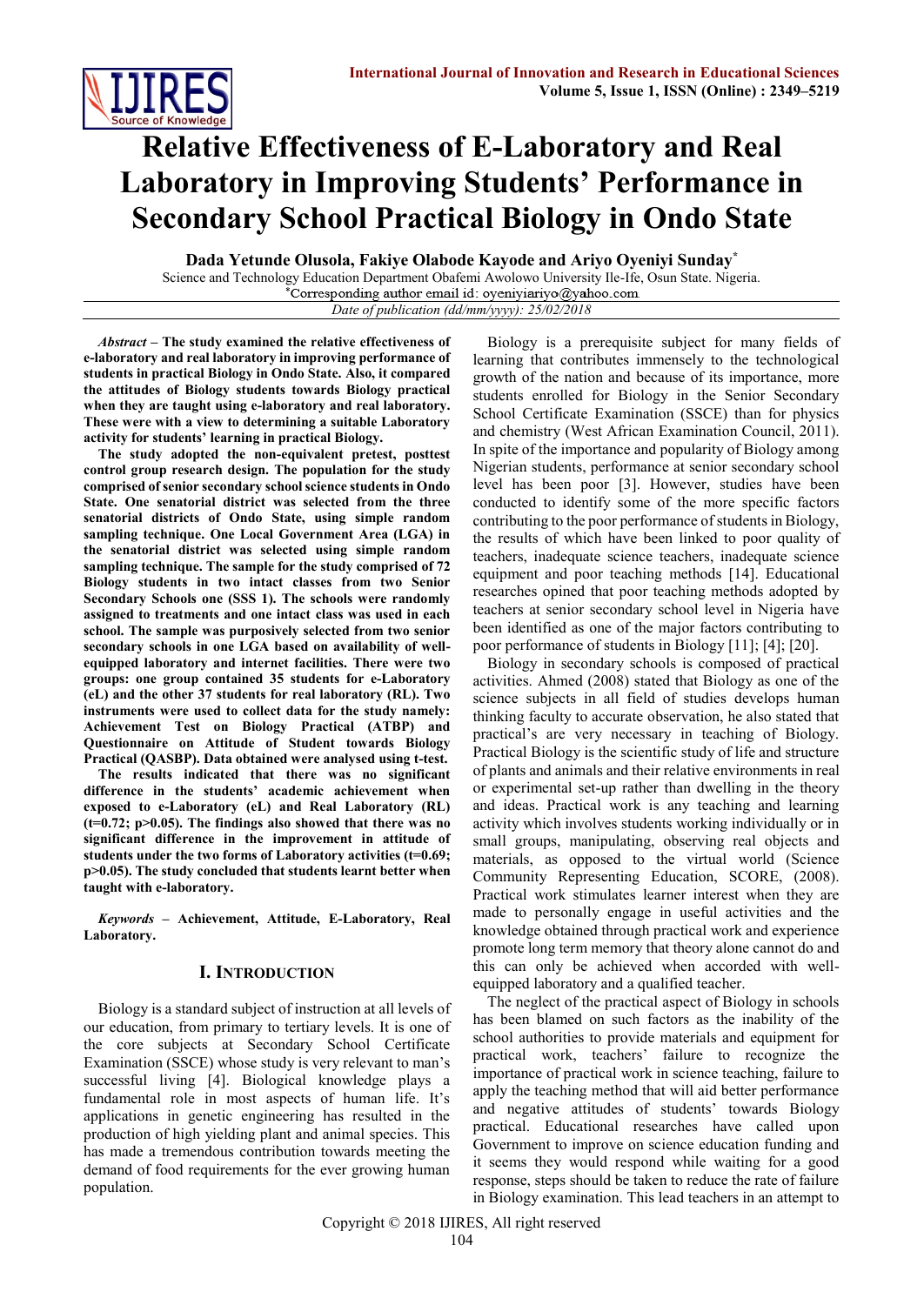

# **Relative Effectiveness of E-Laboratory and Real Laboratory in Improving Students' Performance in Secondary School Practical Biology in Ondo State**

**Dada Yetunde Olusola, Fakiye Olabode Kayode and Ariyo Oyeniyi Sunday\***

Science and Technology Education Department Obafemi Awolowo University Ile-Ife, Osun State. Nigeria. \*Corresponding author email id: oyeniyiariyo@yahoo.com *Date of publication (dd/mm/yyyy): 25/02/2018*

*Abstract* **– The study examined the relative effectiveness of e-laboratory and real laboratory in improving performance of students in practical Biology in Ondo State. Also, it compared the attitudes of Biology students towards Biology practical when they are taught using e-laboratory and real laboratory. These were with a view to determining a suitable Laboratory activity for students' learning in practical Biology.**

**The study adopted the non-equivalent pretest, posttest control group research design. The population for the study comprised of senior secondary school science students in Ondo State. One senatorial district was selected from the three senatorial districts of Ondo State, using simple random sampling technique. One Local Government Area (LGA) in the senatorial district was selected using simple random sampling technique. The sample for the study comprised of 72 Biology students in two intact classes from two Senior Secondary Schools one (SSS 1). The schools were randomly assigned to treatments and one intact class was used in each school. The sample was purposively selected from two senior secondary schools in one LGA based on availability of wellequipped laboratory and internet facilities. There were two groups: one group contained 35 students for e-Laboratory (eL) and the other 37 students for real laboratory (RL). Two instruments were used to collect data for the study namely: Achievement Test on Biology Practical (ATBP) and Questionnaire on Attitude of Student towards Biology Practical (QASBP). Data obtained were analysed using t-test.**

**The results indicated that there was no significant difference in the students' academic achievement when exposed to e-Laboratory (eL) and Real Laboratory (RL) (t=0.72; p>0.05). The findings also showed that there was no significant difference in the improvement in attitude of students under the two forms of Laboratory activities (t=0.69; p>0.05). The study concluded that students learnt better when taught with e-laboratory.**

*Keywords* **– Achievement, Attitude, E-Laboratory, Real Laboratory.**

## **I. INTRODUCTION**

Biology is a standard subject of instruction at all levels of our education, from primary to tertiary levels. It is one of the core subjects at Secondary School Certificate Examination (SSCE) whose study is very relevant to man's successful living [4]. Biological knowledge plays a fundamental role in most aspects of human life. It's applications in genetic engineering has resulted in the production of high yielding plant and animal species. This has made a tremendous contribution towards meeting the demand of food requirements for the ever growing human population.

Biology is a prerequisite subject for many fields of learning that contributes immensely to the technological growth of the nation and because of its importance, more students enrolled for Biology in the Senior Secondary School Certificate Examination (SSCE) than for physics and chemistry (West African Examination Council, 2011). In spite of the importance and popularity of Biology among Nigerian students, performance at senior secondary school level has been poor [3]. However, studies have been conducted to identify some of the more specific factors contributing to the poor performance of students in Biology, the results of which have been linked to poor quality of teachers, inadequate science teachers, inadequate science equipment and poor teaching methods [14]. Educational researches opined that poor teaching methods adopted by teachers at senior secondary school level in Nigeria have been identified as one of the major factors contributing to poor performance of students in Biology [11]; [4]; [20].

Biology in secondary schools is composed of practical activities. Ahmed (2008) stated that Biology as one of the science subjects in all field of studies develops human thinking faculty to accurate observation, he also stated that practical's are very necessary in teaching of Biology. Practical Biology is the scientific study of life and structure of plants and animals and their relative environments in real or experimental set-up rather than dwelling in the theory and ideas. Practical work is any teaching and learning activity which involves students working individually or in small groups, manipulating, observing real objects and materials, as opposed to the virtual world (Science Community Representing Education, SCORE, (2008). Practical work stimulates learner interest when they are made to personally engage in useful activities and the knowledge obtained through practical work and experience promote long term memory that theory alone cannot do and this can only be achieved when accorded with wellequipped laboratory and a qualified teacher.

The neglect of the practical aspect of Biology in schools has been blamed on such factors as the inability of the school authorities to provide materials and equipment for practical work, teachers' failure to recognize the importance of practical work in science teaching, failure to apply the teaching method that will aid better performance and negative attitudes of students' towards Biology practical. Educational researches have called upon Government to improve on science education funding and it seems they would respond while waiting for a good response, steps should be taken to reduce the rate of failure in Biology examination. This lead teachers in an attempt to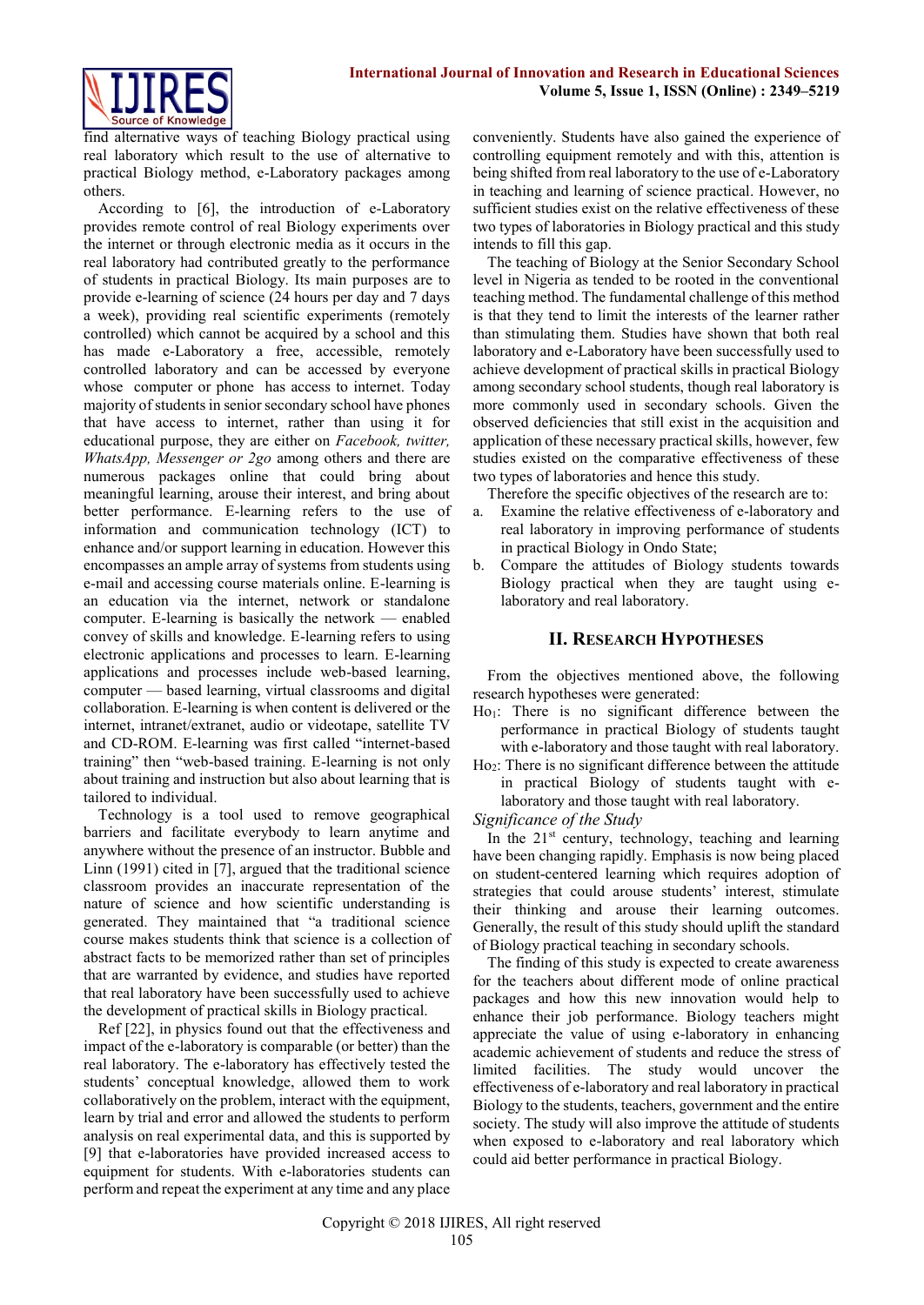

find alternative ways of teaching Biology practical using real laboratory which result to the use of alternative to practical Biology method, e-Laboratory packages among others.

According to [6], the introduction of e-Laboratory provides remote control of real Biology experiments over the internet or through electronic media as it occurs in the real laboratory had contributed greatly to the performance of students in practical Biology. Its main purposes are to provide e-learning of science (24 hours per day and 7 days a week), providing real scientific experiments (remotely controlled) which cannot be acquired by a school and this has made e-Laboratory a free, accessible, remotely controlled laboratory and can be accessed by everyone whose computer or phone has access to internet. Today majority of students in senior secondary school have phones that have access to internet, rather than using it for educational purpose, they are either on *Facebook, twitter, WhatsApp, Messenger or 2go* among others and there are numerous packages online that could bring about meaningful learning, arouse their interest, and bring about better performance. E-learning refers to the use of information and communication technology (ICT) to enhance and/or support learning in education. However this encompasses an ample array of systems from students using e-mail and accessing course materials online. E-learning is an education via the internet, network or standalone computer. E-learning is basically the network — enabled convey of skills and knowledge. E-learning refers to using electronic applications and processes to learn. E-learning applications and processes include web-based learning, computer — based learning, virtual classrooms and digital collaboration. E-learning is when content is delivered or the internet, intranet/extranet, audio or videotape, satellite TV and CD-ROM. E-learning was first called "internet-based training" then "web-based training. E-learning is not only about training and instruction but also about learning that is tailored to individual.

Technology is a tool used to remove geographical barriers and facilitate everybody to learn anytime and anywhere without the presence of an instructor. Bubble and Linn (1991) cited in [7], argued that the traditional science classroom provides an inaccurate representation of the nature of science and how scientific understanding is generated. They maintained that "a traditional science course makes students think that science is a collection of abstract facts to be memorized rather than set of principles that are warranted by evidence, and studies have reported that real laboratory have been successfully used to achieve the development of practical skills in Biology practical.

Ref [22], in physics found out that the effectiveness and impact of the e-laboratory is comparable (or better) than the real laboratory. The e-laboratory has effectively tested the students' conceptual knowledge, allowed them to work collaboratively on the problem, interact with the equipment, learn by trial and error and allowed the students to perform analysis on real experimental data, and this is supported by [9] that e-laboratories have provided increased access to equipment for students. With e-laboratories students can perform and repeat the experiment at any time and any place conveniently. Students have also gained the experience of controlling equipment remotely and with this, attention is being shifted from real laboratory to the use of e-Laboratory in teaching and learning of science practical. However, no sufficient studies exist on the relative effectiveness of these two types of laboratories in Biology practical and this study intends to fill this gap.

The teaching of Biology at the Senior Secondary School level in Nigeria as tended to be rooted in the conventional teaching method. The fundamental challenge of this method is that they tend to limit the interests of the learner rather than stimulating them. Studies have shown that both real laboratory and e-Laboratory have been successfully used to achieve development of practical skills in practical Biology among secondary school students, though real laboratory is more commonly used in secondary schools. Given the observed deficiencies that still exist in the acquisition and application of these necessary practical skills, however, few studies existed on the comparative effectiveness of these two types of laboratories and hence this study.

Therefore the specific objectives of the research are to:

- a. Examine the relative effectiveness of e-laboratory and real laboratory in improving performance of students in practical Biology in Ondo State;
- b. Compare the attitudes of Biology students towards Biology practical when they are taught using elaboratory and real laboratory.

# **II. RESEARCH HYPOTHESES**

From the objectives mentioned above, the following research hypotheses were generated:

- Ho1: There is no significant difference between the performance in practical Biology of students taught with e-laboratory and those taught with real laboratory.
- Ho2: There is no significant difference between the attitude in practical Biology of students taught with elaboratory and those taught with real laboratory.
- *Significance of the Study*

In the 21<sup>st</sup> century, technology, teaching and learning have been changing rapidly. Emphasis is now being placed on student-centered learning which requires adoption of strategies that could arouse students' interest, stimulate their thinking and arouse their learning outcomes. Generally, the result of this study should uplift the standard of Biology practical teaching in secondary schools.

The finding of this study is expected to create awareness for the teachers about different mode of online practical packages and how this new innovation would help to enhance their job performance. Biology teachers might appreciate the value of using e-laboratory in enhancing academic achievement of students and reduce the stress of limited facilities. The study would uncover the effectiveness of e-laboratory and real laboratory in practical Biology to the students, teachers, government and the entire society. The study will also improve the attitude of students when exposed to e-laboratory and real laboratory which could aid better performance in practical Biology.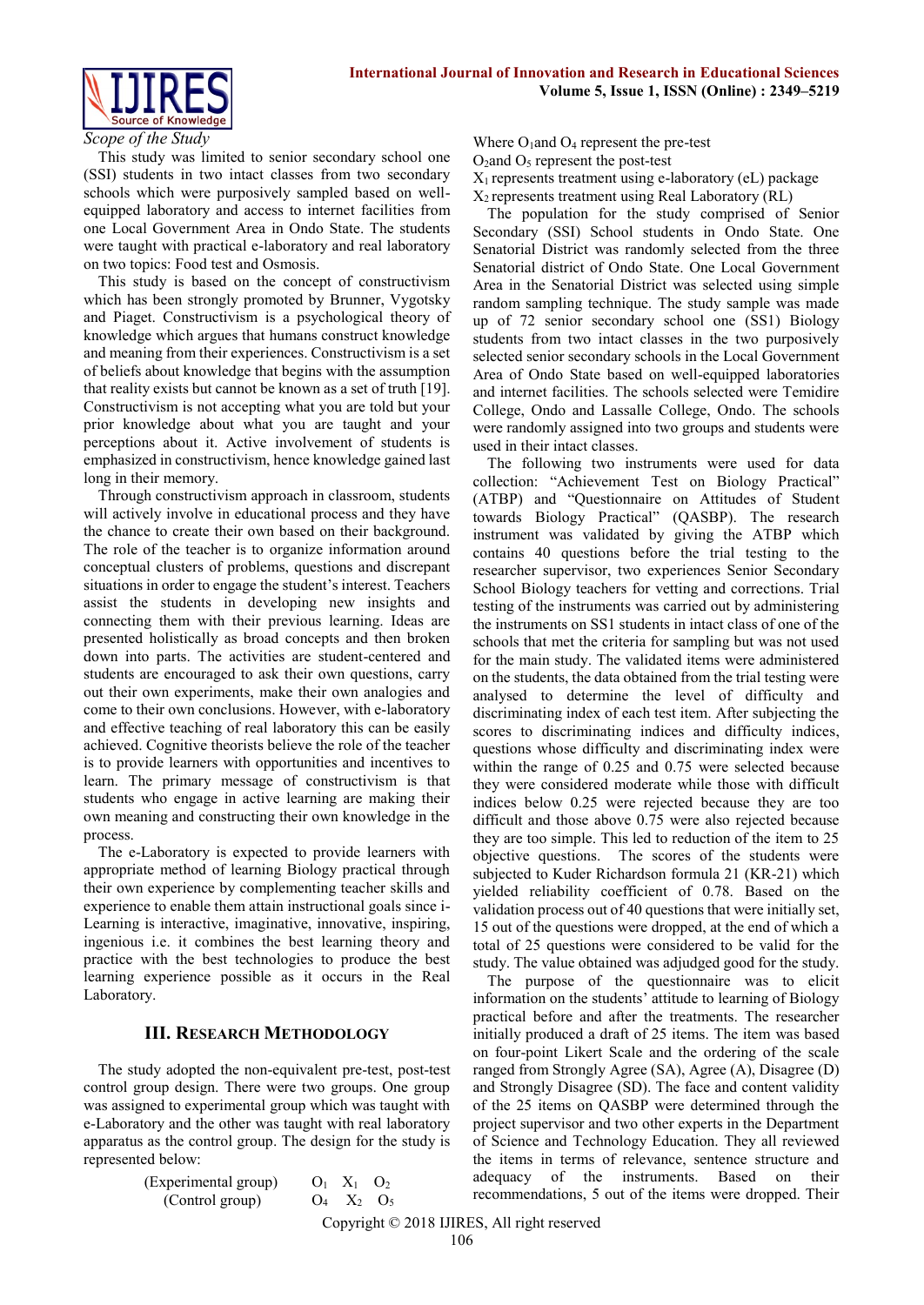

*Scope of the Study*

This study was limited to senior secondary school one (SSI) students in two intact classes from two secondary schools which were purposively sampled based on wellequipped laboratory and access to internet facilities from one Local Government Area in Ondo State. The students were taught with practical e-laboratory and real laboratory on two topics: Food test and Osmosis.

This study is based on the concept of constructivism which has been strongly promoted by Brunner, Vygotsky and Piaget. Constructivism is a psychological theory of knowledge which argues that humans construct knowledge and meaning from their experiences. Constructivism is a set of beliefs about knowledge that begins with the assumption that reality exists but cannot be known as a set of truth [19]. Constructivism is not accepting what you are told but your prior knowledge about what you are taught and your perceptions about it. Active involvement of students is emphasized in constructivism, hence knowledge gained last long in their memory.

Through constructivism approach in classroom, students will actively involve in educational process and they have the chance to create their own based on their background. The role of the teacher is to organize information around conceptual clusters of problems, questions and discrepant situations in order to engage the student's interest. Teachers assist the students in developing new insights and connecting them with their previous learning. Ideas are presented holistically as broad concepts and then broken down into parts. The activities are student-centered and students are encouraged to ask their own questions, carry out their own experiments, make their own analogies and come to their own conclusions. However, with e-laboratory and effective teaching of real laboratory this can be easily achieved. Cognitive theorists believe the role of the teacher is to provide learners with opportunities and incentives to learn. The primary message of constructivism is that students who engage in active learning are making their own meaning and constructing their own knowledge in the process.

The e-Laboratory is expected to provide learners with appropriate method of learning Biology practical through their own experience by complementing teacher skills and experience to enable them attain instructional goals since i-Learning is interactive, imaginative, innovative, inspiring, ingenious i.e. it combines the best learning theory and practice with the best technologies to produce the best learning experience possible as it occurs in the Real Laboratory.

## **III. RESEARCH METHODOLOGY**

The study adopted the non-equivalent pre-test, post-test control group design. There were two groups. One group was assigned to experimental group which was taught with e-Laboratory and the other was taught with real laboratory apparatus as the control group. The design for the study is represented below:

> (Experimental group)  $O_1$   $X_1$   $O_2$ (Control group)  $O_4$   $X_2$   $O_5$

Where  $O_1$  and  $O_4$  represent the pre-test

 $O_2$ and  $O_5$  represent the post-test

 $X_1$  represents treatment using e-laboratory (eL) package  $X_2$  represents treatment using Real Laboratory (RL)

The population for the study comprised of Senior Secondary (SSI) School students in Ondo State. One Senatorial District was randomly selected from the three Senatorial district of Ondo State. One Local Government Area in the Senatorial District was selected using simple random sampling technique. The study sample was made up of 72 senior secondary school one (SS1) Biology students from two intact classes in the two purposively selected senior secondary schools in the Local Government Area of Ondo State based on well-equipped laboratories and internet facilities. The schools selected were Temidire College, Ondo and Lassalle College, Ondo. The schools were randomly assigned into two groups and students were used in their intact classes.

The following two instruments were used for data collection: "Achievement Test on Biology Practical" (ATBP) and "Questionnaire on Attitudes of Student towards Biology Practical" (QASBP). The research instrument was validated by giving the ATBP which contains 40 questions before the trial testing to the researcher supervisor, two experiences Senior Secondary School Biology teachers for vetting and corrections. Trial testing of the instruments was carried out by administering the instruments on SS1 students in intact class of one of the schools that met the criteria for sampling but was not used for the main study. The validated items were administered on the students, the data obtained from the trial testing were analysed to determine the level of difficulty and discriminating index of each test item. After subjecting the scores to discriminating indices and difficulty indices, questions whose difficulty and discriminating index were within the range of 0.25 and 0.75 were selected because they were considered moderate while those with difficult indices below 0.25 were rejected because they are too difficult and those above 0.75 were also rejected because they are too simple. This led to reduction of the item to 25 objective questions. The scores of the students were subjected to Kuder Richardson formula 21 (KR-21) which yielded reliability coefficient of 0.78. Based on the validation process out of 40 questions that were initially set, 15 out of the questions were dropped, at the end of which a total of 25 questions were considered to be valid for the study. The value obtained was adjudged good for the study.

The purpose of the questionnaire was to elicit information on the students' attitude to learning of Biology practical before and after the treatments. The researcher initially produced a draft of 25 items. The item was based on four-point Likert Scale and the ordering of the scale ranged from Strongly Agree (SA), Agree (A), Disagree (D) and Strongly Disagree (SD). The face and content validity of the 25 items on QASBP were determined through the project supervisor and two other experts in the Department of Science and Technology Education. They all reviewed the items in terms of relevance, sentence structure and adequacy of the instruments. Based on their recommendations, 5 out of the items were dropped. Their

Copyright © 2018 IJIRES, All right reserved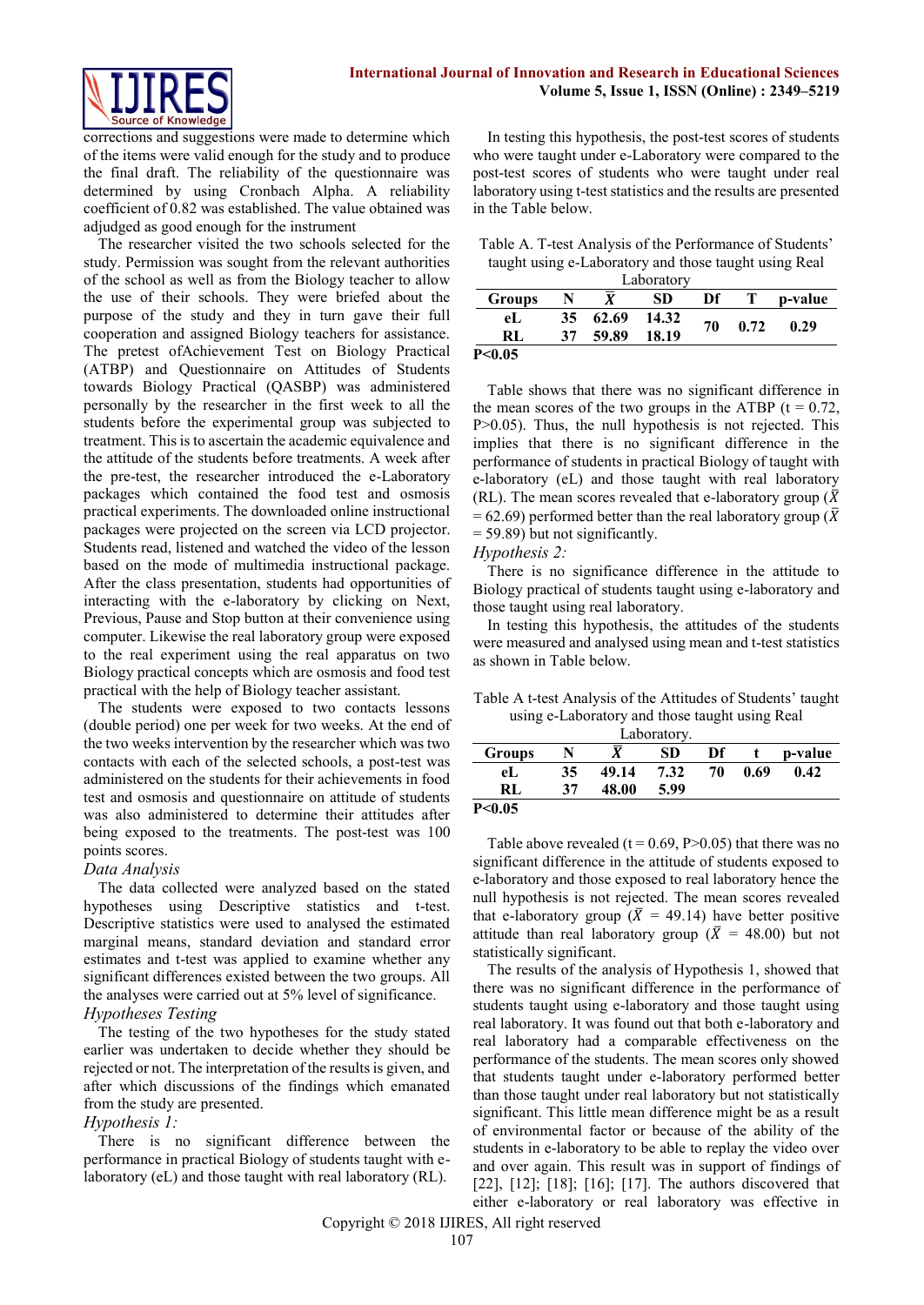

corrections and suggestions were made to determine which of the items were valid enough for the study and to produce the final draft. The reliability of the questionnaire was determined by using Cronbach Alpha. A reliability coefficient of 0.82 was established. The value obtained was adjudged as good enough for the instrument

The researcher visited the two schools selected for the study. Permission was sought from the relevant authorities of the school as well as from the Biology teacher to allow the use of their schools. They were briefed about the purpose of the study and they in turn gave their full cooperation and assigned Biology teachers for assistance. The pretest ofAchievement Test on Biology Practical (ATBP) and Questionnaire on Attitudes of Students towards Biology Practical (QASBP) was administered personally by the researcher in the first week to all the students before the experimental group was subjected to treatment. This is to ascertain the academic equivalence and the attitude of the students before treatments. A week after the pre-test, the researcher introduced the e-Laboratory packages which contained the food test and osmosis practical experiments. The downloaded online instructional packages were projected on the screen via LCD projector. Students read, listened and watched the video of the lesson based on the mode of multimedia instructional package. After the class presentation, students had opportunities of interacting with the e-laboratory by clicking on Next, Previous, Pause and Stop button at their convenience using computer. Likewise the real laboratory group were exposed to the real experiment using the real apparatus on two Biology practical concepts which are osmosis and food test practical with the help of Biology teacher assistant.

The students were exposed to two contacts lessons (double period) one per week for two weeks. At the end of the two weeks intervention by the researcher which was two contacts with each of the selected schools, a post-test was administered on the students for their achievements in food test and osmosis and questionnaire on attitude of students was also administered to determine their attitudes after being exposed to the treatments. The post-test was 100 points scores.

## *Data Analysis*

The data collected were analyzed based on the stated hypotheses using Descriptive statistics and t-test. Descriptive statistics were used to analysed the estimated marginal means, standard deviation and standard error estimates and t-test was applied to examine whether any significant differences existed between the two groups. All the analyses were carried out at 5% level of significance.

## *Hypotheses Testing*

The testing of the two hypotheses for the study stated earlier was undertaken to decide whether they should be rejected or not. The interpretation of the results is given, and after which discussions of the findings which emanated from the study are presented.

## *Hypothesis 1:*

There is no significant difference between the performance in practical Biology of students taught with elaboratory (eL) and those taught with real laboratory (RL).

In testing this hypothesis, the post-test scores of students who were taught under e-Laboratory were compared to the post-test scores of students who were taught under real laboratory using t-test statistics and the results are presented in the Table below.

| Table A. T-test Analysis of the Performance of Students' |  |
|----------------------------------------------------------|--|
| taught using e-Laboratory and those taught using Real    |  |

| Laboratory |    |          |       |    |      |         |  |  |  |  |
|------------|----|----------|-------|----|------|---------|--|--|--|--|
| Groups     |    |          | SD    | Df |      | p-value |  |  |  |  |
| eL         |    | 35 62.69 | 14.32 | 70 | 0.72 | 0.29    |  |  |  |  |
| RL         | 37 | 59.89    | 18.19 |    |      |         |  |  |  |  |
| P < 0.05   |    |          |       |    |      |         |  |  |  |  |

Table shows that there was no significant difference in the mean scores of the two groups in the ATBP ( $t = 0.72$ , P>0.05). Thus, the null hypothesis is not rejected. This implies that there is no significant difference in the performance of students in practical Biology of taught with e-laboratory (eL) and those taught with real laboratory (RL). The mean scores revealed that e-laboratory group ( $\overline{X}$  $= 62.69$ ) performed better than the real laboratory group ( $\overline{X}$ = 59.89) but not significantly.

#### *Hypothesis 2:*

There is no significance difference in the attitude to Biology practical of students taught using e-laboratory and those taught using real laboratory.

In testing this hypothesis, the attitudes of the students were measured and analysed using mean and t-test statistics as shown in Table below.

Table A t-test Analysis of the Attitudes of Students' taught using e-Laboratory and those taught using Real

| Laboratory.   |    |       |           |    |      |         |  |  |  |  |
|---------------|----|-------|-----------|----|------|---------|--|--|--|--|
| <b>Groups</b> |    |       | <b>SD</b> | Df |      | p-value |  |  |  |  |
| eL            | 35 | 49.14 | 7.32      | 70 | 0.69 | 0.42    |  |  |  |  |
| RL            | 37 | 48.00 | 5.99      |    |      |         |  |  |  |  |
| P<0.05        |    |       |           |    |      |         |  |  |  |  |

Table above revealed  $(t = 0.69, P > 0.05)$  that there was no significant difference in the attitude of students exposed to e-laboratory and those exposed to real laboratory hence the null hypothesis is not rejected. The mean scores revealed that e-laboratory group ( $\bar{X}$  = 49.14) have better positive attitude than real laboratory group ( $\overline{X}$  = 48.00) but not statistically significant.

The results of the analysis of Hypothesis 1, showed that there was no significant difference in the performance of students taught using e-laboratory and those taught using real laboratory. It was found out that both e-laboratory and real laboratory had a comparable effectiveness on the performance of the students. The mean scores only showed that students taught under e-laboratory performed better than those taught under real laboratory but not statistically significant. This little mean difference might be as a result of environmental factor or because of the ability of the students in e-laboratory to be able to replay the video over and over again. This result was in support of findings of [22], [12]; [18]; [16]; [17]. The authors discovered that either e-laboratory or real laboratory was effective in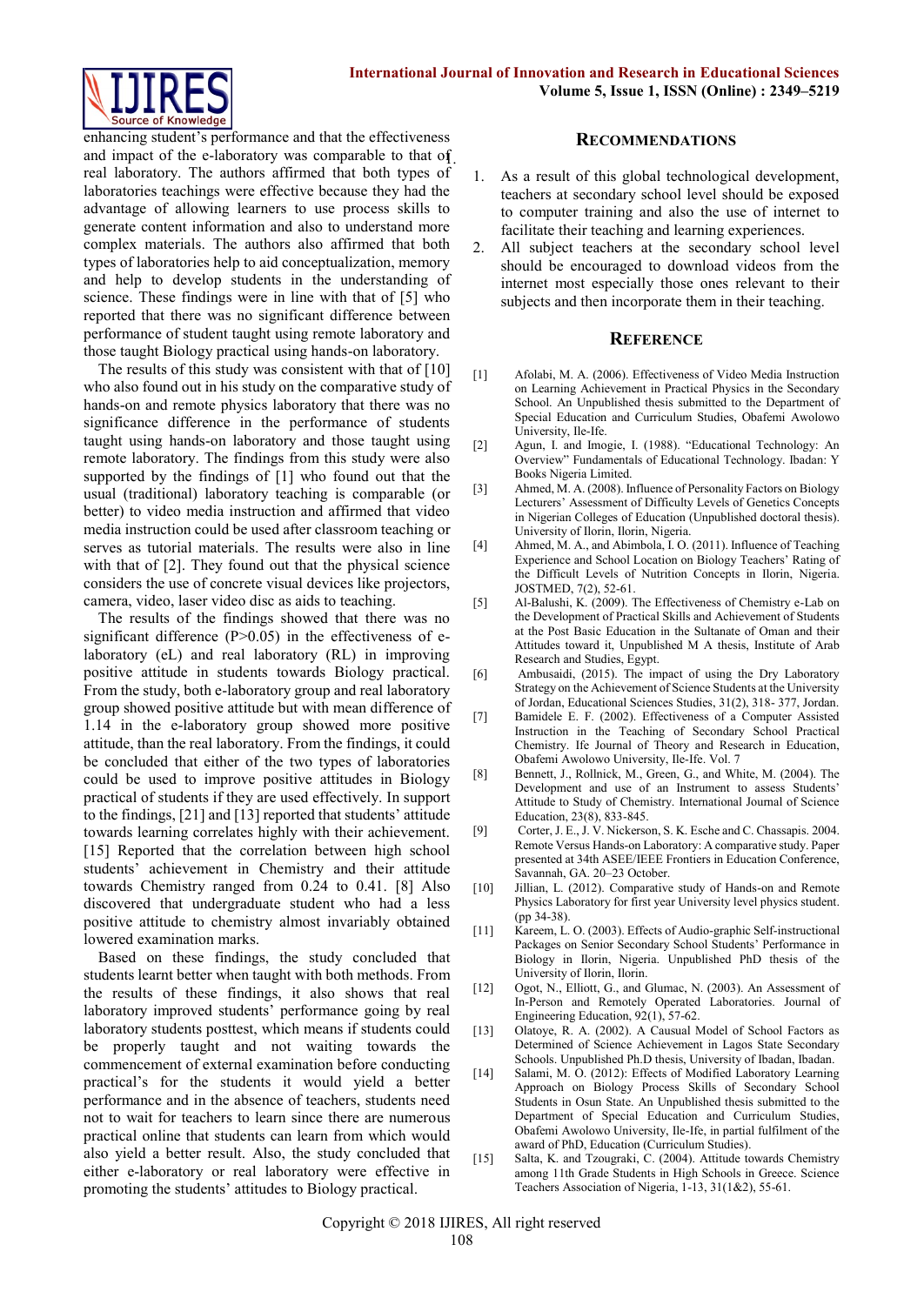

enhancing student's performance and that the effectiveness and impact of the e-laboratory was comparable to that of real laboratory. The authors affirmed that both types of laboratories teachings were effective because they had the advantage of allowing learners to use process skills to generate content information and also to understand more complex materials. The authors also affirmed that both types of laboratories help to aid conceptualization, memory and help to develop students in the understanding of science. These findings were in line with that of [5] who reported that there was no significant difference between performance of student taught using remote laboratory and those taught Biology practical using hands-on laboratory.

The results of this study was consistent with that of [10] who also found out in his study on the comparative study of hands-on and remote physics laboratory that there was no significance difference in the performance of students taught using hands-on laboratory and those taught using remote laboratory. The findings from this study were also supported by the findings of [1] who found out that the usual (traditional) laboratory teaching is comparable (or better) to video media instruction and affirmed that video media instruction could be used after classroom teaching or serves as tutorial materials. The results were also in line with that of [2]. They found out that the physical science considers the use of concrete visual devices like projectors, camera, video, laser video disc as aids to teaching.

The results of the findings showed that there was no significant difference  $(P>0.05)$  in the effectiveness of elaboratory (eL) and real laboratory (RL) in improving positive attitude in students towards Biology practical. From the study, both e-laboratory group and real laboratory group showed positive attitude but with mean difference of 1.14 in the e-laboratory group showed more positive attitude, than the real laboratory. From the findings, it could be concluded that either of the two types of laboratories could be used to improve positive attitudes in Biology practical of students if they are used effectively. In support to the findings, [21] and [13] reported that students' attitude towards learning correlates highly with their achievement. [15] Reported that the correlation between high school students' achievement in Chemistry and their attitude towards Chemistry ranged from 0.24 to 0.41. [8] Also discovered that undergraduate student who had a less positive attitude to chemistry almost invariably obtained lowered examination marks.

Based on these findings, the study concluded that students learnt better when taught with both methods. From the results of these findings, it also shows that real laboratory improved students' performance going by real laboratory students posttest, which means if students could be properly taught and not waiting towards the commencement of external examination before conducting practical's for the students it would yield a better performance and in the absence of teachers, students need not to wait for teachers to learn since there are numerous practical online that students can learn from which would also yield a better result. Also, the study concluded that either e-laboratory or real laboratory were effective in promoting the students' attitudes to Biology practical.

#### **RECOMMENDATIONS**

- 1. As a result of this global technological development, teachers at secondary school level should be exposed to computer training and also the use of internet to facilitate their teaching and learning experiences.
- 2. All subject teachers at the secondary school level should be encouraged to download videos from the internet most especially those ones relevant to their subjects and then incorporate them in their teaching.

#### **REFERENCE**

- [1] Afolabi, M. A. (2006). Effectiveness of Video Media Instruction on Learning Achievement in Practical Physics in the Secondary School. An Unpublished thesis submitted to the Department of Special Education and Curriculum Studies, Obafemi Awolowo University, Ile-Ife.
- [2] Agun, I. and Imogie, I. (1988). "Educational Technology: An Overview" Fundamentals of Educational Technology. Ibadan: Y Books Nigeria Limited.
- [3] Ahmed, M. A. (2008). Influence of Personality Factors on Biology Lecturers' Assessment of Difficulty Levels of Genetics Concepts in Nigerian Colleges of Education (Unpublished doctoral thesis). University of Ilorin, Ilorin, Nigeria.
- [4] Ahmed, M. A., and Abimbola, I. O. (2011). Influence of Teaching Experience and School Location on Biology Teachers' Rating of the Difficult Levels of Nutrition Concepts in Ilorin, Nigeria. JOSTMED, 7(2), 52-61.
- [5] Al-Balushi, K. (2009). The Effectiveness of Chemistry e-Lab on the Development of Practical Skills and Achievement of Students at the Post Basic Education in the Sultanate of Oman and their Attitudes toward it, Unpublished M A thesis, Institute of Arab Research and Studies, Egypt.
- [6] Ambusaidi, (2015). The impact of using the Dry Laboratory Strategy on the Achievement of Science Students at the University of Jordan, Educational Sciences Studies, 31(2), 318- 377, Jordan.
- [7] Bamidele E. F. (2002). Effectiveness of a Computer Assisted Instruction in the Teaching of Secondary School Practical Chemistry. Ife Journal of Theory and Research in Education, Obafemi Awolowo University, Ile-Ife. Vol. 7
- [8] Bennett, J., Rollnick, M., Green, G., and White, M. (2004). The Development and use of an Instrument to assess Students' Attitude to Study of Chemistry. International Journal of Science Education, 23(8), 833-845.
- [9] Corter, J. E., J. V. Nickerson, S. K. Esche and C. Chassapis. 2004. Remote Versus Hands-on Laboratory: A comparative study. Paper presented at 34th ASEE/IEEE Frontiers in Education Conference, Savannah, GA. 20–23 October.
- [10] Jillian, L. (2012). Comparative study of Hands-on and Remote Physics Laboratory for first year University level physics student. (pp 34-38).
- [11] Kareem, L. O. (2003). Effects of Audio-graphic Self-instructional Packages on Senior Secondary School Students' Performance in Biology in Ilorin, Nigeria. Unpublished PhD thesis of the University of Ilorin, Ilorin.
- [12] Ogot, N., Elliott, G., and Glumac, N. (2003). An Assessment of In-Person and Remotely Operated Laboratories. Journal of Engineering Education, 92(1), 57-62.
- [13] Olatoye, R. A. (2002). A Causual Model of School Factors as Determined of Science Achievement in Lagos State Secondary Schools. Unpublished Ph.D thesis, University of Ibadan, Ibadan.
- [14] Salami, M. O. (2012): Effects of Modified Laboratory Learning Approach on Biology Process Skills of Secondary School Students in Osun State. An Unpublished thesis submitted to the Department of Special Education and Curriculum Studies, Obafemi Awolowo University, Ile-Ife, in partial fulfilment of the award of PhD, Education (Curriculum Studies).
- [15] Salta, K. and Tzougraki, C. (2004). Attitude towards Chemistry among 11th Grade Students in High Schools in Greece. Science Teachers Association of Nigeria, 1-13, 31(1&2), 55-61.